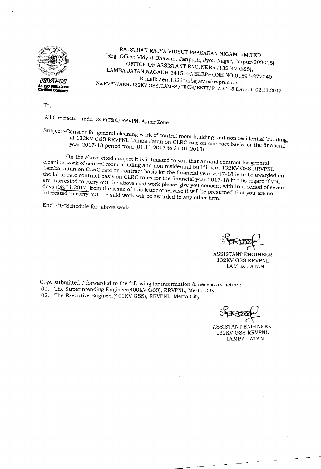

RAJSTHAN RAJYA VIDYUT PRASARAN NIGAM LIMITED (Reg. Office: Vidyut Bhawan, Janpath, Jyoti Nagar, Jaipur-302005) OFFICE OF ASSISTANT ENGINEER (132 KV GSS), LAMBA JATAN,NAGAUR-34151O,TELEPHONE NO.01591-277040 E-mail: aen.132.lambajatan@rvpn.co.in No.RVPN/AEN/132KV GSS/LAMBA/TECH/ESIT/F. /D.14S DATED:-02.11.2017

To,

All Contractor under ZCE(T&C) RRVPN, Ajmer Zone.

Subject:-Consent for general cleaning work of control room building and non residential building, at 132KV GSS RRVPNL Lamba Jatan on CLRC rate on contract basis for the financial year 2017-18 period from (01.11.2017 to 31.01.2018).

On the above cited subject it is intimated to you that annual contract for general cleaning work of control room building and non residential building at 132KV GSS RRVPNL Lamba Jatan on CLRC rate on contract basis for the financial year 2017-18 is to be awarded on the labor rate contract basis on CLRC rates for the fmancial year 2017-18 in this regard if you are interested to carry out the above said work please give you consent with in a period of seven days (08.11.2017) from the issue of this letter otherwise it will be presumed that you are not interested to carry out the said work will be awarded to any other firm.

Encl:-"G"Schedule for above work.

~  $\sim$   $\blacktriangleright$   $\blacktriangleright$ 

ASSISTANT ENGINEER 132KVGSS RRVPNL LAMBA JATAN

Copy submitted / forwarded to the following for information & necessary action:-01. The Superintending Engineer(400KV GSS), RRVPNL, Merta City. 02. The Executive Engineer(400KV GSS), RRVPNL, Merta City.

ASSISTANT ENGINEER 132KV GSS RRVPNL LAMBA JATAN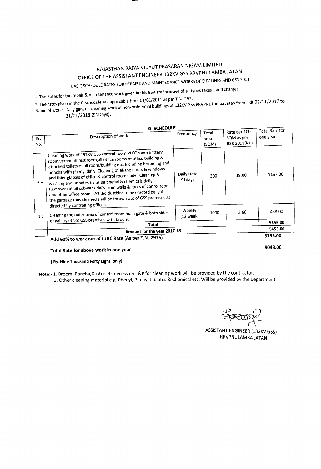## RAJASTHAN RAJYA VIDYUT PRASARAN NIGAM LIMITED OFFICE OF THE ASSISTANT ENGINEER 132KV GSS RRVPNL LAMBA JATAN

BASIC SCHEDULE RATES FOR REPAIRE AND MAINTENANCE WORKS OF EHV LINES AND GSS 2011

1. The Rates for the repair & maintenance work given in this BSRare inclusive of all types taxes and charges.

2. The rates given in the G schedule are applicable from 01/01/2011 as per T.N.-297S Name of work:- Daily general cleaning work of non-residential buildings at 132KV GSSRRVPNLLamba Jatan from dt 02/11/2017 to

31/01/2018 (91Days).

|            | <b>G SCHEDULE</b>                                                                                                                                                                                                                                                                                                                                                                                                                                                                                                                                                                                                                             |                            |                        |                                             |                                   |  |
|------------|-----------------------------------------------------------------------------------------------------------------------------------------------------------------------------------------------------------------------------------------------------------------------------------------------------------------------------------------------------------------------------------------------------------------------------------------------------------------------------------------------------------------------------------------------------------------------------------------------------------------------------------------------|----------------------------|------------------------|---------------------------------------------|-----------------------------------|--|
| Sr.<br>No. | Descreption of work                                                                                                                                                                                                                                                                                                                                                                                                                                                                                                                                                                                                                           | Frequency                  | Total<br>area<br>(SQM) | Rate per 100<br>SQM as per<br>BSR 2011(Rs.) | <b>Total Rate for</b><br>one year |  |
| 1.1        | Cleaning work of 132KV GSS control room, PLCC room battery<br>room, verandah, rest room, all office rooms of office building &<br>attached toilets of all room/building etc. Including brooming and<br>poncha with phenyl daily. Cleaning of all the doors & windows<br>and thier glasses of office & control room daily . Cleaning &<br>washing and urinates by using phenyl & chemicals daily.<br>Removeal of all cobwebs daily from walls & roofs of conrol room<br>and other office rooms. All the dustbins to be empted daily.All<br>the garbage thus cleaned shall be thrown out of GSS premises as<br>directed by controlling officer. | Daily (total<br>91days)    | 300                    | 19.00                                       | 518/00                            |  |
| 1.2        | Cleaning the outer area of control room main gate & both sides<br>of gallery etc.of GSS premises with broom.                                                                                                                                                                                                                                                                                                                                                                                                                                                                                                                                  | <b>Weekly</b><br>(13 week) | 1000                   | 3.60                                        | 468.00                            |  |
|            | Total                                                                                                                                                                                                                                                                                                                                                                                                                                                                                                                                                                                                                                         |                            |                        |                                             | 5655.00                           |  |
|            | Amount for the year 2017-18                                                                                                                                                                                                                                                                                                                                                                                                                                                                                                                                                                                                                   |                            |                        |                                             | 5655.00                           |  |
|            | Add 60% to work out of CLRC Rate (As per T.N.-2975)                                                                                                                                                                                                                                                                                                                                                                                                                                                                                                                                                                                           |                            |                        |                                             |                                   |  |

9048.00

## Total Rate for above work in one year

### ( Rs. Nine Thousand Forty Eight only)

Note:- 1. Broom, Poncha, Duster etc necessary T&P for cleaning work will be provided by the contractor. 2. Other cleaning material e.g. Phenyl, Phenyl tablates & Chemical etc. Will be provided by the department.

 $47.00$ 

ASSISTANTENGINEER(132KV GSS) RRVPNL LAMBA JATAN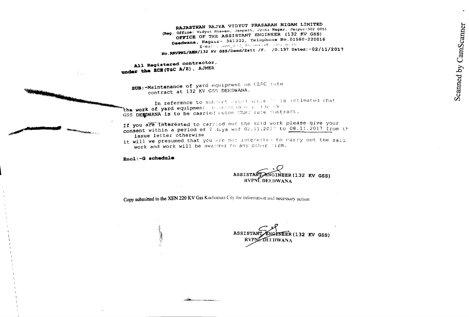RAJASTHAN RAJYA VIDYUT PRASARAN NIGAM LIMITED Sustantially the manufacturer of the state of the state of the state of the state of the state of the state of the state of the state of the state of the state of the state of the state of the state of the state of the sta OFFICE OF THE ASSISTANT ENGINEER (132 KV GSS) Deedwana, Nagaur- 341303, Telephone No.01580-220016  $R = max$   $\alpha$  =  $\alpha$  =  $\alpha$  =  $\alpha$  =  $\alpha$  =  $\alpha$  =  $\alpha$  =  $\alpha$  =  $\alpha$  =  $\alpha$  =  $\alpha$  =  $\alpha$  =  $\alpha$  =  $\alpha$  =  $\alpha$  =  $\alpha$  =  $\alpha$  =  $\alpha$  =  $\alpha$  =  $\alpha$  =  $\alpha$  =  $\alpha$  =  $\alpha$  =  $\alpha$  =  $\alpha$  =  $\alpha$  =  $\alpha$  =  $\alpha$  =  $\alpha$  =  $\alpha$  =  $\alpha$  No. RRVFNL/AEN/132 KV GSS/Deed/Estt./F. /D.137 Dated:-02/11/2017

All Registered contractor, under the ECE(T&C A/Z), AJMER

> sum:-Maintenance of yard equipment on CLRC rate contract at 132 KV GSS DEEDWANA.

In reference to subject cited above If is intimated that the work of yard equipment milintenance at 132 EV GSS DERDWANA is to be caaried outon CLRC rate contract.

If you are interested to carried out the said work please give your consent within a period of 7 days wef 02.11.2017 to 08.11.2017 from th issue letter otherwise

it will we presumed that you are not interested to carry out the said work and work will be awarded to any other firm.

Encl:-G schedule

 $\frac{2}{3} \log \frac{1}{3}$  .

ENGINEER (132 KV GSS) ASSISTANT RVPNCDEEDWANA

Copy submitted to the XEN 220 KV Gss Kuchaman City for information and necessary action

**ASSISTANT** EER(132 KV GSS) **RVPNE DEEDWANA**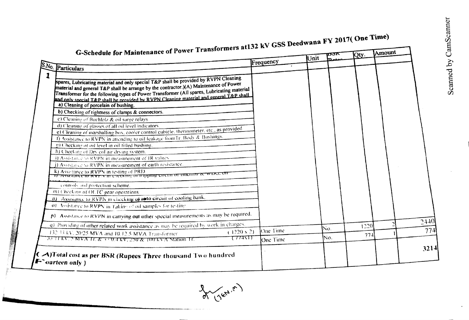| G-Schedule for Maintenance of Power Transformers at 132 kV GSS Deedwana FY 2017( One Time)                                                                                                                                                                                                                                                                                                                    |                 | Unit |     |      | Amount |  |
|---------------------------------------------------------------------------------------------------------------------------------------------------------------------------------------------------------------------------------------------------------------------------------------------------------------------------------------------------------------------------------------------------------------|-----------------|------|-----|------|--------|--|
|                                                                                                                                                                                                                                                                                                                                                                                                               | Frequency       |      |     |      |        |  |
| S.No. Particulars                                                                                                                                                                                                                                                                                                                                                                                             |                 |      |     |      |        |  |
| spares, Lubricating material and only special T&P shall be provided by RVPN Cleaning<br>material and general T&P shall be arrange by the contractor.)(A) Maintenance of Power<br>Transformer for the following types of Power Transformer (All spares, Lubricating material<br>and only special T&P shall be provided by RVPN Cleaning material and general T&P shall<br>a) Cleaning of porcelain of bushing. |                 |      |     |      |        |  |
| b) Checking of tightness of clamps & connectors.                                                                                                                                                                                                                                                                                                                                                              |                 |      |     |      |        |  |
| c) Cleaning of Buchlolz & oil surge relays                                                                                                                                                                                                                                                                                                                                                                    |                 |      |     |      |        |  |
| d) Cleaning of glasses of all oil level indicators                                                                                                                                                                                                                                                                                                                                                            |                 |      |     |      |        |  |
| e) Cleaning of marshalling box, cooler control cubicle, thermometer, etc., as provided                                                                                                                                                                                                                                                                                                                        |                 |      |     |      |        |  |
| 1) Assistance to RVPN in attending to oil leakage from Tr. Body & Bushings.                                                                                                                                                                                                                                                                                                                                   |                 |      |     |      |        |  |
| g) Checking of oil level in oil filled bushing.                                                                                                                                                                                                                                                                                                                                                               |                 |      |     |      |        |  |
| h) Checking of Dry col air drying system.                                                                                                                                                                                                                                                                                                                                                                     |                 |      |     |      |        |  |
| 1) Assistance to RVPN in measurement of IR values                                                                                                                                                                                                                                                                                                                                                             |                 |      |     |      |        |  |
| J) Assistance to RVPN in measurement of earth resistance.                                                                                                                                                                                                                                                                                                                                                     |                 |      |     |      |        |  |
| k) Assistance to RVPN in testing of PRD.<br>$\overline{n}$ zessialite to K v i will checkling of happing chemic of futurity $\alpha$ will on                                                                                                                                                                                                                                                                  |                 |      |     |      |        |  |
| controls and protection scheme.                                                                                                                                                                                                                                                                                                                                                                               |                 |      |     |      |        |  |
| m) Checking of OLTC gear operations.                                                                                                                                                                                                                                                                                                                                                                          |                 |      |     |      |        |  |
| 11) Assistance to RVPN in checking of anto circuit of cooling bank.                                                                                                                                                                                                                                                                                                                                           |                 |      |     |      |        |  |
| 01. Assistance to RVPN in Taking of oil samples for testing                                                                                                                                                                                                                                                                                                                                                   |                 |      |     |      |        |  |
| $\mathsf{p}$ ). Assistance to RVPN in carrying out other special measurements as may be required.                                                                                                                                                                                                                                                                                                             |                 |      |     |      |        |  |
| q). Providing of other related work assistance as may be required by work in charges.                                                                                                                                                                                                                                                                                                                         |                 |      | Ńο. | 1220 |        |  |
| $(1220 \times 2)$<br>132.33 kV, 20/25 MVA and 10.12.5 MVA Transformer                                                                                                                                                                                                                                                                                                                                         | One Time        |      |     | 774  |        |  |
| $\tau\tau\tau\pi\pi\tau$<br>33 TEKV, SMVA IT. & SUGIKV, 250 & TOUKVA Station IT.                                                                                                                                                                                                                                                                                                                              | <b>One Time</b> |      | No. |      |        |  |
|                                                                                                                                                                                                                                                                                                                                                                                                               |                 |      |     |      |        |  |

 $\bullet$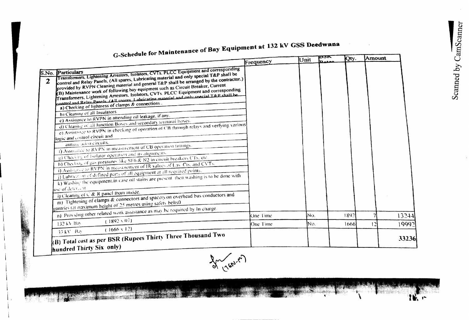$10<sub>1</sub>$ 

# G-Schedule for Maintenance of Bay Equipment at 132 kV GSS Deedwana

|                                                                                                                                                                                                         |           | Unit | p3r.     | <b>Qty.</b> | <b>LAmount</b> |
|---------------------------------------------------------------------------------------------------------------------------------------------------------------------------------------------------------|-----------|------|----------|-------------|----------------|
|                                                                                                                                                                                                         | Frequency |      | ممعمرتنا |             |                |
| Transformers, Lightening Arrestors, Isolators, CVTs. PLCC Equipment and corresponding<br>S.No. Particulars<br>control and Relay Panels, (All spares, Lubricating material and only special T&P shall be |           |      |          |             |                |
| $\mathbf{2}$                                                                                                                                                                                            |           |      |          |             |                |
| provided by RVPN Cleaning material and general T&P shall be arranged by the contractor.)<br>(B) Maintenance work of following bay equipment such as Circuit Breaker, Current                            |           |      |          |             |                |
| Transformers, Lightening Arrestors, Isolators, CVTs. PLCC Equipment and corresponding                                                                                                                   |           |      |          |             |                |
| control and Relay Panels (All spares 1 ubricating material and only special T&P shall be                                                                                                                |           |      |          |             |                |
| a) Checking of lightness of clamps & connections.                                                                                                                                                       |           |      |          |             |                |
| b) Cleaning of all Insulators.<br>c) Assistance to RVPN in attending oil leakage, if any.                                                                                                               |           |      |          |             |                |
| d) Cleaning of all Junction Boxes and secondary terminal boxes.                                                                                                                                         |           |      |          |             |                |
| c) Assistance to RVPN in checking of operation of CB through relays and verfying various                                                                                                                |           |      |          |             |                |
| logic and control circuit and                                                                                                                                                                           |           |      |          |             |                |
| annumeration circuits.                                                                                                                                                                                  |           |      |          |             |                |
| I) Assistance to RVPN in measurement of CB operation timings.                                                                                                                                           |           |      |          |             |                |
| g) Checking of Isolator operation and its alignments.                                                                                                                                                   |           |      |          |             |                |
| h) Checking of gas pressures like SF6 & N2 in circuit breakers CTs, etc.                                                                                                                                |           |      |          |             |                |
| i) Assistance to RVPN in measurement of IR values of Las. Cts. and CVTs.                                                                                                                                |           |      |          |             |                |
| 1) Lubrication of defined parts of all equipment at all required points.<br>(k) Washing the equipment in case oil stains are present, then washing is to be done with                                   |           |      |          |             |                |
|                                                                                                                                                                                                         |           |      |          |             |                |
| luse of deteriout                                                                                                                                                                                       |           |      |          |             |                |
| 1) Cleaning of C & R panel from mside.                                                                                                                                                                  |           |      |          |             |                |
| m) Tightening of clamps & connectors and spacers on overhead bus conductors and                                                                                                                         |           |      |          |             |                |
| gantries (at maximum height of 25 metres using safety belts0                                                                                                                                            |           |      |          |             |                |
| n) Providing other related work assistance as may be required by In charge.                                                                                                                             | One Time  | INo. |          | 1892        | 13244          |
| $(1892 \times 07)$<br>132 kV Bay                                                                                                                                                                        | One Time  | INO. |          | 16661<br>12 | 19992          |
| $(1666 \times 12)$<br>33 kV Bay                                                                                                                                                                         |           |      |          |             |                |
|                                                                                                                                                                                                         |           |      |          |             | 33236          |
| $\rm ^{h}\rm (B)$ Total cost as per BSR (Rupees Thirty Three Thousand Two                                                                                                                               |           |      |          |             |                |
| hundred Thirty Six only)                                                                                                                                                                                |           |      |          |             |                |